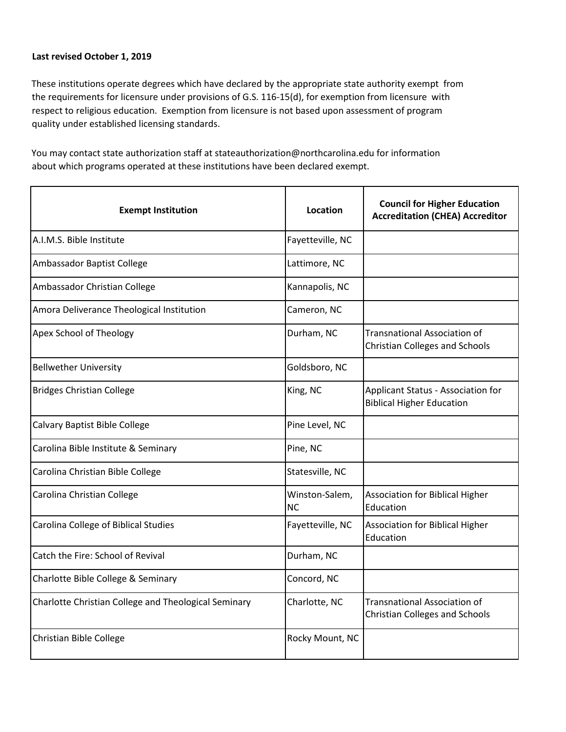## **Last revised October 1, 2019**

These institutions operate degrees which have declared by the appropriate state authority exempt from the requirements for licensure under provisions of G.S. 116-15(d), for exemption from licensure with respect to religious education. Exemption from licensure is not based upon assessment of program quality under established licensing standards.

You may contact state authorization staff at stateauthorization@northcarolina.edu for information about which programs operated at these institutions have been declared exempt.

| <b>Exempt Institution</b>                            | Location                    | <b>Council for Higher Education</b><br><b>Accreditation (CHEA) Accreditor</b> |
|------------------------------------------------------|-----------------------------|-------------------------------------------------------------------------------|
| A.I.M.S. Bible Institute                             | Fayetteville, NC            |                                                                               |
| Ambassador Baptist College                           | Lattimore, NC               |                                                                               |
| Ambassador Christian College                         | Kannapolis, NC              |                                                                               |
| Amora Deliverance Theological Institution            | Cameron, NC                 |                                                                               |
| Apex School of Theology                              | Durham, NC                  | <b>Transnational Association of</b><br><b>Christian Colleges and Schools</b>  |
| <b>Bellwether University</b>                         | Goldsboro, NC               |                                                                               |
| <b>Bridges Christian College</b>                     | King, NC                    | Applicant Status - Association for<br><b>Biblical Higher Education</b>        |
| Calvary Baptist Bible College                        | Pine Level, NC              |                                                                               |
| Carolina Bible Institute & Seminary                  | Pine, NC                    |                                                                               |
| Carolina Christian Bible College                     | Statesville, NC             |                                                                               |
| Carolina Christian College                           | Winston-Salem,<br><b>NC</b> | <b>Association for Biblical Higher</b><br>Education                           |
| Carolina College of Biblical Studies                 | Fayetteville, NC            | <b>Association for Biblical Higher</b><br>Education                           |
| Catch the Fire: School of Revival                    | Durham, NC                  |                                                                               |
| Charlotte Bible College & Seminary                   | Concord, NC                 |                                                                               |
| Charlotte Christian College and Theological Seminary | Charlotte, NC               | <b>Transnational Association of</b><br><b>Christian Colleges and Schools</b>  |
| Christian Bible College                              | Rocky Mount, NC             |                                                                               |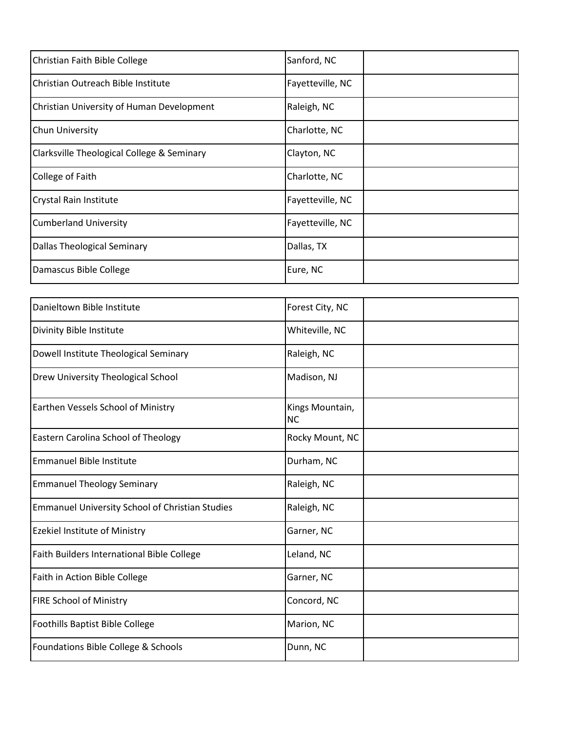| Christian Faith Bible College              | Sanford, NC      |
|--------------------------------------------|------------------|
| Christian Outreach Bible Institute         | Fayetteville, NC |
| Christian University of Human Development  | Raleigh, NC      |
| Chun University                            | Charlotte, NC    |
| Clarksville Theological College & Seminary | Clayton, NC      |
| College of Faith                           | Charlotte, NC    |
| Crystal Rain Institute                     | Fayetteville, NC |
| <b>Cumberland University</b>               | Fayetteville, NC |
| Dallas Theological Seminary                | Dallas, TX       |
| Damascus Bible College                     | Eure, NC         |

| Danieltown Bible Institute                             | Forest City, NC              |
|--------------------------------------------------------|------------------------------|
| Divinity Bible Institute                               | Whiteville, NC               |
| Dowell Institute Theological Seminary                  | Raleigh, NC                  |
| <b>Drew University Theological School</b>              | Madison, NJ                  |
| Earthen Vessels School of Ministry                     | Kings Mountain,<br><b>NC</b> |
| Eastern Carolina School of Theology                    | Rocky Mount, NC              |
| <b>Emmanuel Bible Institute</b>                        | Durham, NC                   |
| <b>Emmanuel Theology Seminary</b>                      | Raleigh, NC                  |
| <b>Emmanuel University School of Christian Studies</b> | Raleigh, NC                  |
| <b>Ezekiel Institute of Ministry</b>                   | Garner, NC                   |
| Faith Builders International Bible College             | Leland, NC                   |
| Faith in Action Bible College                          | Garner, NC                   |
| <b>FIRE School of Ministry</b>                         | Concord, NC                  |
| Foothills Baptist Bible College                        | Marion, NC                   |
| Foundations Bible College & Schools                    | Dunn, NC                     |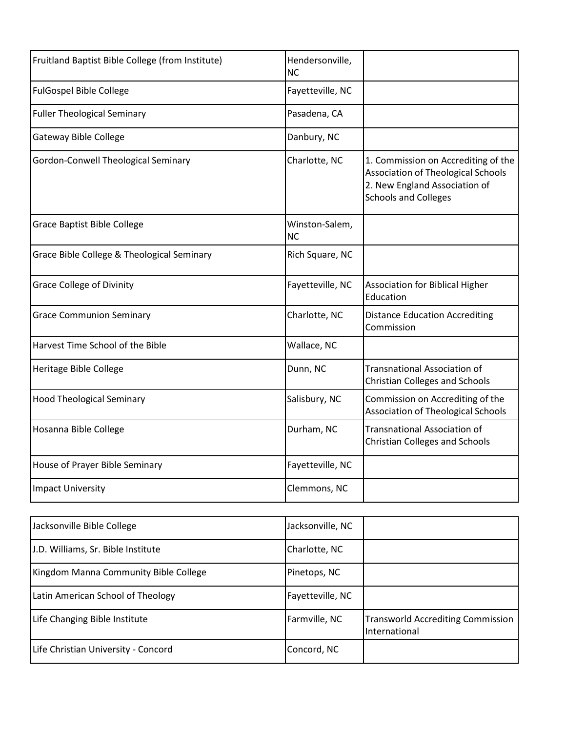| Fruitland Baptist Bible College (from Institute) | Hendersonville,<br><b>NC</b> |                                                                                                                                           |
|--------------------------------------------------|------------------------------|-------------------------------------------------------------------------------------------------------------------------------------------|
| <b>FulGospel Bible College</b>                   | Fayetteville, NC             |                                                                                                                                           |
| <b>Fuller Theological Seminary</b>               | Pasadena, CA                 |                                                                                                                                           |
| Gateway Bible College                            | Danbury, NC                  |                                                                                                                                           |
| Gordon-Conwell Theological Seminary              | Charlotte, NC                | 1. Commission on Accrediting of the<br>Association of Theological Schools<br>2. New England Association of<br><b>Schools and Colleges</b> |
| <b>Grace Baptist Bible College</b>               | Winston-Salem,<br><b>NC</b>  |                                                                                                                                           |
| Grace Bible College & Theological Seminary       | Rich Square, NC              |                                                                                                                                           |
| <b>Grace College of Divinity</b>                 | Fayetteville, NC             | <b>Association for Biblical Higher</b><br>Education                                                                                       |
| <b>Grace Communion Seminary</b>                  | Charlotte, NC                | <b>Distance Education Accrediting</b><br>Commission                                                                                       |
| Harvest Time School of the Bible                 | Wallace, NC                  |                                                                                                                                           |
| Heritage Bible College                           | Dunn, NC                     | <b>Transnational Association of</b><br><b>Christian Colleges and Schools</b>                                                              |
| <b>Hood Theological Seminary</b>                 | Salisbury, NC                | Commission on Accrediting of the<br><b>Association of Theological Schools</b>                                                             |
| Hosanna Bible College                            | Durham, NC                   | <b>Transnational Association of</b><br><b>Christian Colleges and Schools</b>                                                              |
| House of Prayer Bible Seminary                   | Fayetteville, NC             |                                                                                                                                           |
| <b>Impact University</b>                         | Clemmons, NC                 |                                                                                                                                           |

| Jacksonville Bible College            | Jacksonville, NC |                                                           |
|---------------------------------------|------------------|-----------------------------------------------------------|
| J.D. Williams, Sr. Bible Institute    | Charlotte, NC    |                                                           |
| Kingdom Manna Community Bible College | Pinetops, NC     |                                                           |
| Latin American School of Theology     | Fayetteville, NC |                                                           |
| Life Changing Bible Institute         | Farmville, NC    | <b>Transworld Accrediting Commission</b><br>International |
| Life Christian University - Concord   | Concord, NC      |                                                           |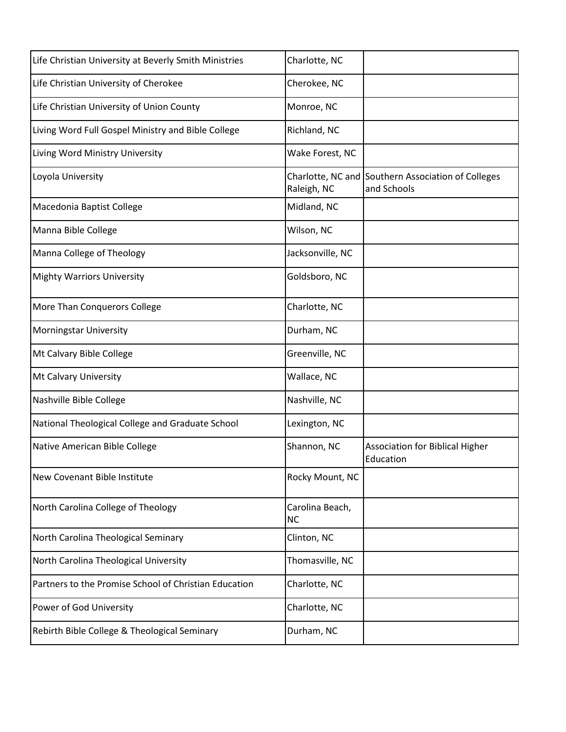| Life Christian University at Beverly Smith Ministries | Charlotte, NC                |                                                                   |
|-------------------------------------------------------|------------------------------|-------------------------------------------------------------------|
| Life Christian University of Cherokee                 | Cherokee, NC                 |                                                                   |
| Life Christian University of Union County             | Monroe, NC                   |                                                                   |
| Living Word Full Gospel Ministry and Bible College    | Richland, NC                 |                                                                   |
| Living Word Ministry University                       | Wake Forest, NC              |                                                                   |
| Loyola University                                     | Raleigh, NC                  | Charlotte, NC and Southern Association of Colleges<br>and Schools |
| Macedonia Baptist College                             | Midland, NC                  |                                                                   |
| Manna Bible College                                   | Wilson, NC                   |                                                                   |
| Manna College of Theology                             | Jacksonville, NC             |                                                                   |
| <b>Mighty Warriors University</b>                     | Goldsboro, NC                |                                                                   |
| More Than Conquerors College                          | Charlotte, NC                |                                                                   |
| <b>Morningstar University</b>                         | Durham, NC                   |                                                                   |
| Mt Calvary Bible College                              | Greenville, NC               |                                                                   |
| Mt Calvary University                                 | Wallace, NC                  |                                                                   |
| Nashville Bible College                               | Nashville, NC                |                                                                   |
| National Theological College and Graduate School      | Lexington, NC                |                                                                   |
| Native American Bible College                         | Shannon, NC                  | <b>Association for Biblical Higher</b><br>Education               |
| New Covenant Bible Institute                          | Rocky Mount, NC              |                                                                   |
| North Carolina College of Theology                    | Carolina Beach,<br><b>NC</b> |                                                                   |
| North Carolina Theological Seminary                   | Clinton, NC                  |                                                                   |
| North Carolina Theological University                 | Thomasville, NC              |                                                                   |
| Partners to the Promise School of Christian Education | Charlotte, NC                |                                                                   |
| Power of God University                               | Charlotte, NC                |                                                                   |
| Rebirth Bible College & Theological Seminary          | Durham, NC                   |                                                                   |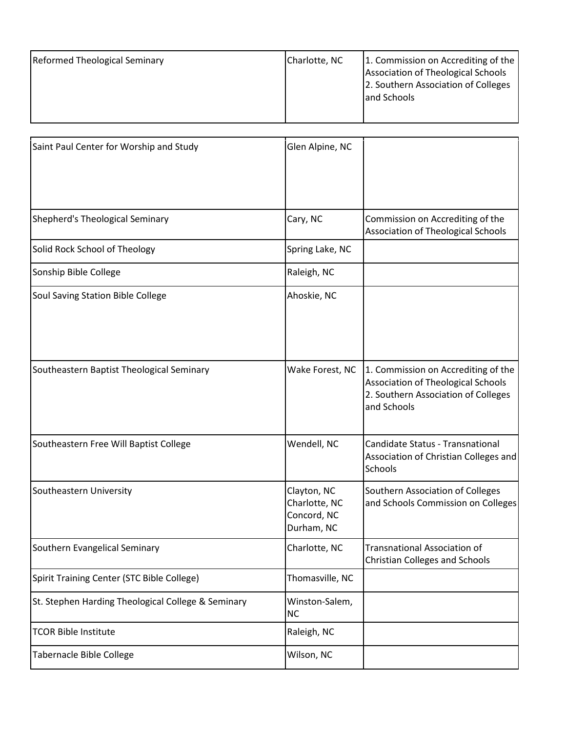| <b>Reformed Theological Seminary</b> | Charlotte, NC | 1. Commission on Accrediting of the<br>Association of Theological Schools<br>2. Southern Association of Colleges<br>and Schools |
|--------------------------------------|---------------|---------------------------------------------------------------------------------------------------------------------------------|
|                                      |               |                                                                                                                                 |

| Saint Paul Center for Worship and Study            | Glen Alpine, NC                                           |                                                                                                                                 |
|----------------------------------------------------|-----------------------------------------------------------|---------------------------------------------------------------------------------------------------------------------------------|
| Shepherd's Theological Seminary                    | Cary, NC                                                  | Commission on Accrediting of the<br><b>Association of Theological Schools</b>                                                   |
| Solid Rock School of Theology                      | Spring Lake, NC                                           |                                                                                                                                 |
| Sonship Bible College                              | Raleigh, NC                                               |                                                                                                                                 |
| Soul Saving Station Bible College                  | Ahoskie, NC                                               |                                                                                                                                 |
| Southeastern Baptist Theological Seminary          | Wake Forest, NC                                           | 1. Commission on Accrediting of the<br>Association of Theological Schools<br>2. Southern Association of Colleges<br>and Schools |
| Southeastern Free Will Baptist College             | Wendell, NC                                               | Candidate Status - Transnational<br>Association of Christian Colleges and<br>Schools                                            |
| Southeastern University                            | Clayton, NC<br>Charlotte, NC<br>Concord, NC<br>Durham, NC | Southern Association of Colleges<br>and Schools Commission on Colleges                                                          |
| Southern Evangelical Seminary                      | Charlotte, NC                                             | Transnational Association of<br><b>Christian Colleges and Schools</b>                                                           |
| Spirit Training Center (STC Bible College)         | Thomasville, NC                                           |                                                                                                                                 |
| St. Stephen Harding Theological College & Seminary | Winston-Salem,<br><b>NC</b>                               |                                                                                                                                 |
| <b>TCOR Bible Institute</b>                        | Raleigh, NC                                               |                                                                                                                                 |
| Tabernacle Bible College                           | Wilson, NC                                                |                                                                                                                                 |